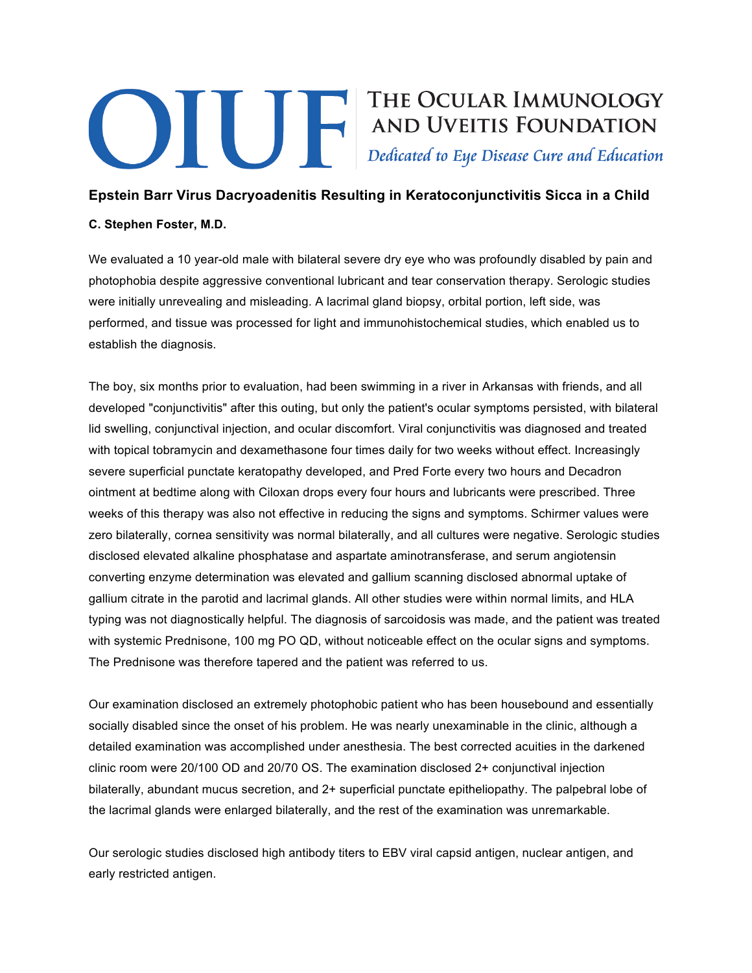## **Example 19 THE OCULAR IMMUNOLOGY<br>AND UVEITIS FOUNDATION**<br>Dedicated to Eye Disease Cure and Education

## **Epstein Barr Virus Dacryoadenitis Resulting in Keratoconjunctivitis Sicca in a Child**

## **C. Stephen Foster, M.D.**

We evaluated a 10 year-old male with bilateral severe dry eye who was profoundly disabled by pain and photophobia despite aggressive conventional lubricant and tear conservation therapy. Serologic studies were initially unrevealing and misleading. A lacrimal gland biopsy, orbital portion, left side, was performed, and tissue was processed for light and immunohistochemical studies, which enabled us to establish the diagnosis.

The boy, six months prior to evaluation, had been swimming in a river in Arkansas with friends, and all developed "conjunctivitis" after this outing, but only the patient's ocular symptoms persisted, with bilateral lid swelling, conjunctival injection, and ocular discomfort. Viral conjunctivitis was diagnosed and treated with topical tobramycin and dexamethasone four times daily for two weeks without effect. Increasingly severe superficial punctate keratopathy developed, and Pred Forte every two hours and Decadron ointment at bedtime along with Ciloxan drops every four hours and lubricants were prescribed. Three weeks of this therapy was also not effective in reducing the signs and symptoms. Schirmer values were zero bilaterally, cornea sensitivity was normal bilaterally, and all cultures were negative. Serologic studies disclosed elevated alkaline phosphatase and aspartate aminotransferase, and serum angiotensin converting enzyme determination was elevated and gallium scanning disclosed abnormal uptake of gallium citrate in the parotid and lacrimal glands. All other studies were within normal limits, and HLA typing was not diagnostically helpful. The diagnosis of sarcoidosis was made, and the patient was treated with systemic Prednisone, 100 mg PO QD, without noticeable effect on the ocular signs and symptoms. The Prednisone was therefore tapered and the patient was referred to us.

Our examination disclosed an extremely photophobic patient who has been housebound and essentially socially disabled since the onset of his problem. He was nearly unexaminable in the clinic, although a detailed examination was accomplished under anesthesia. The best corrected acuities in the darkened clinic room were 20/100 OD and 20/70 OS. The examination disclosed 2+ conjunctival injection bilaterally, abundant mucus secretion, and 2+ superficial punctate epitheliopathy. The palpebral lobe of the lacrimal glands were enlarged bilaterally, and the rest of the examination was unremarkable.

Our serologic studies disclosed high antibody titers to EBV viral capsid antigen, nuclear antigen, and early restricted antigen.